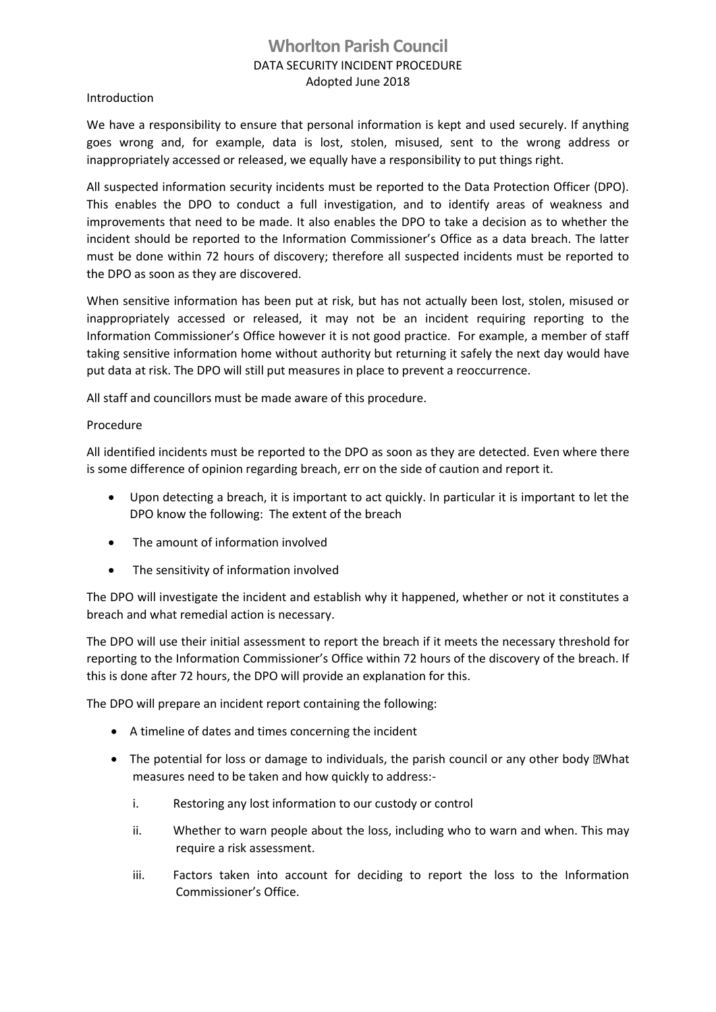## **Whorlton Parish Council** DATA SECURITY INCIDENT PROCEDURE Adopted June 2018

## Introduction

We have a responsibility to ensure that personal information is kept and used securely. If anything goes wrong and, for example, data is lost, stolen, misused, sent to the wrong address or inappropriately accessed or released, we equally have a responsibility to put things right.

All suspected information security incidents must be reported to the Data Protection Officer (DPO). This enables the DPO to conduct a full investigation, and to identify areas of weakness and improvements that need to be made. It also enables the DPO to take a decision as to whether the incident should be reported to the Information Commissioner's Office as a data breach. The latter must be done within 72 hours of discovery; therefore all suspected incidents must be reported to the DPO as soon as they are discovered.

When sensitive information has been put at risk, but has not actually been lost, stolen, misused or inappropriately accessed or released, it may not be an incident requiring reporting to the Information Commissioner's Office however it is not good practice. For example, a member of staff taking sensitive information home without authority but returning it safely the next day would have put data at risk. The DPO will still put measures in place to prevent a reoccurrence.

All staff and councillors must be made aware of this procedure.

## Procedure

All identified incidents must be reported to the DPO as soon as they are detected. Even where there is some difference of opinion regarding breach, err on the side of caution and report it.

- Upon detecting a breach, it is important to act quickly. In particular it is important to let the DPO know the following: The extent of the breach
- The amount of information involved
- The sensitivity of information involved

The DPO will investigate the incident and establish why it happened, whether or not it constitutes a breach and what remedial action is necessary.

The DPO will use their initial assessment to report the breach if it meets the necessary threshold for reporting to the Information Commissioner's Office within 72 hours of the discovery of the breach. If this is done after 72 hours, the DPO will provide an explanation for this.

The DPO will prepare an incident report containing the following:

- A timeline of dates and times concerning the incident
- The potential for loss or damage to individuals, the parish council or any other body **Net and Y** measures need to be taken and how quickly to address:
	- i. Restoring any lost information to our custody or control
	- ii. Whether to warn people about the loss, including who to warn and when. This may require a risk assessment.
	- iii. Factors taken into account for deciding to report the loss to the Information Commissioner's Office.